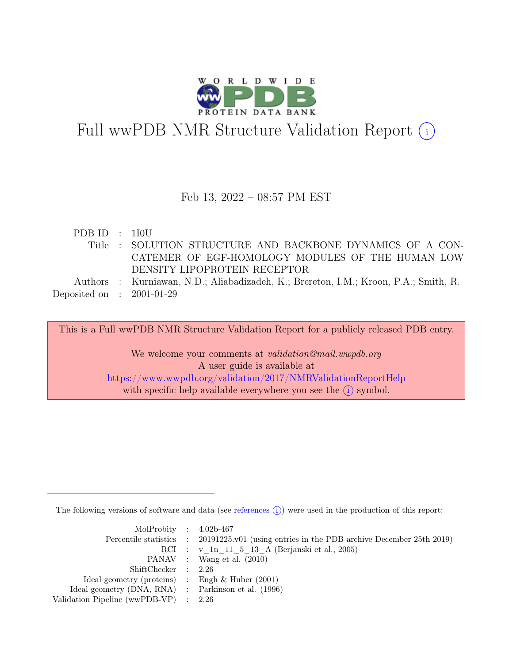

# Full wwPDB NMR Structure Validation Report (i)

### Feb 13, 2022 – 08:57 PM EST

| PDBID : 110U                |                                                                                      |
|-----------------------------|--------------------------------------------------------------------------------------|
|                             | Title : SOLUTION STRUCTURE AND BACKBONE DYNAMICS OF A CON-                           |
|                             | CATEMER OF EGF-HOMOLOGY MODULES OF THE HUMAN LOW                                     |
|                             | DENSITY LIPOPROTEIN RECEPTOR                                                         |
|                             | Authors : Kurniawan, N.D.; Aliabadizadeh, K.; Brereton, I.M.; Kroon, P.A.; Smith, R. |
| Deposited on : $2001-01-29$ |                                                                                      |

This is a Full wwPDB NMR Structure Validation Report for a publicly released PDB entry.

We welcome your comments at *validation@mail.wwpdb.org* A user guide is available at <https://www.wwpdb.org/validation/2017/NMRValidationReportHelp> with specific help available everywhere you see the  $(i)$  symbol.

The following versions of software and data (see [references](https://www.wwpdb.org/validation/2017/NMRValidationReportHelp#references)  $\hat{I}$ ) were used in the production of this report:

| MolProbity : $4.02b-467$                            |                                                                                            |
|-----------------------------------------------------|--------------------------------------------------------------------------------------------|
|                                                     | Percentile statistics : 20191225.v01 (using entries in the PDB archive December 25th 2019) |
|                                                     | RCI : v 1n 11 5 13 A (Berjanski et al., 2005)                                              |
|                                                     | PANAV : Wang et al. (2010)                                                                 |
| ShiftChecker : 2.26                                 |                                                                                            |
| Ideal geometry (proteins) : Engh $\&$ Huber (2001)  |                                                                                            |
| Ideal geometry (DNA, RNA) : Parkinson et al. (1996) |                                                                                            |
| Validation Pipeline (wwPDB-VP) $\therefore$ 2.26    |                                                                                            |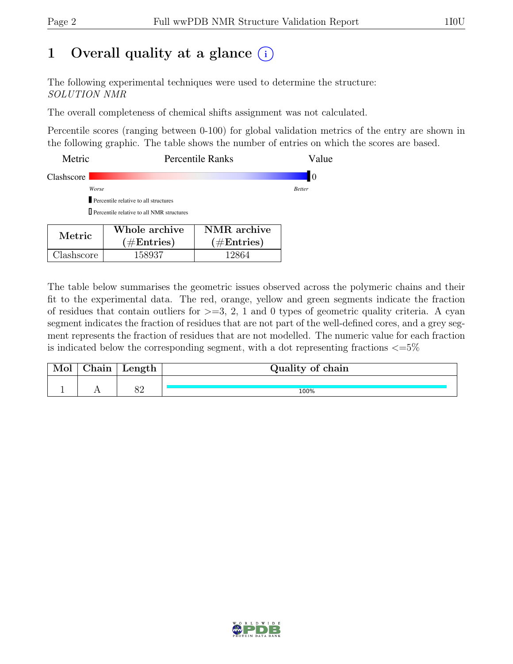## 1 Overall quality at a glance  $(i)$

The following experimental techniques were used to determine the structure: SOLUTION NMR

The overall completeness of chemical shifts assignment was not calculated.

Percentile scores (ranging between 0-100) for global validation metrics of the entry are shown in the following graphic. The table shows the number of entries on which the scores are based.

| Metric     | <b>Percentile Ranks</b>                                                                        | Value         |
|------------|------------------------------------------------------------------------------------------------|---------------|
| Clashscore |                                                                                                | 10            |
|            | Worse                                                                                          | <b>Better</b> |
|            | Percentile relative to all structures                                                          |               |
|            | <b>D</b> Percentile relative to all NMR structures                                             |               |
| Metric     | NMR archive<br>Whole archive<br>$(1/\mathbf{E}_{\text{ref}})$<br>$(1/\mathbf{E}_{\text{ref}})$ |               |

 $(\#\text{Entries})$ 

Clashscore | 158937 | 12864

The table below summarises the geometric issues observed across the polymeric chains and their fit to the experimental data. The red, orange, yellow and green segments indicate the fraction of residues that contain outliers for  $>=$  3, 2, 1 and 0 types of geometric quality criteria. A cyan segment indicates the fraction of residues that are not part of the well-defined cores, and a grey segment represents the fraction of residues that are not modelled. The numeric value for each fraction is indicated below the corresponding segment, with a dot representing fractions  $\epsilon = 5\%$ 

 $(\#\text{Entries})$ 

| Mol | Chain | Length | Quality of chain |  |  |  |
|-----|-------|--------|------------------|--|--|--|
|     |       | ററ     | 100%             |  |  |  |

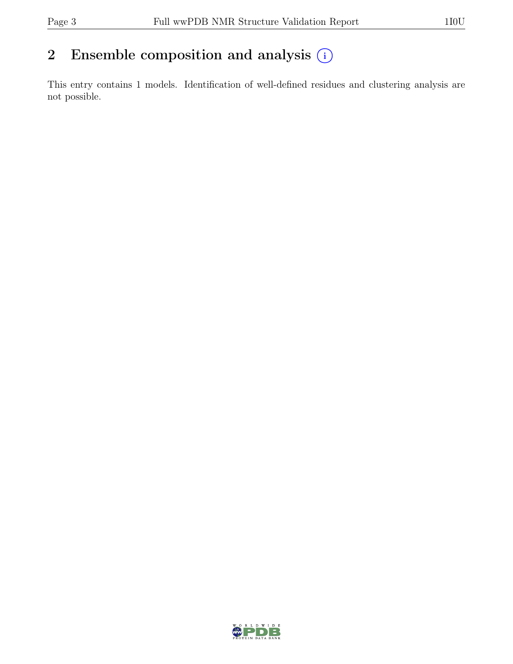## 2 Ensemble composition and analysis  $(i)$

This entry contains 1 models. Identification of well-defined residues and clustering analysis are not possible.

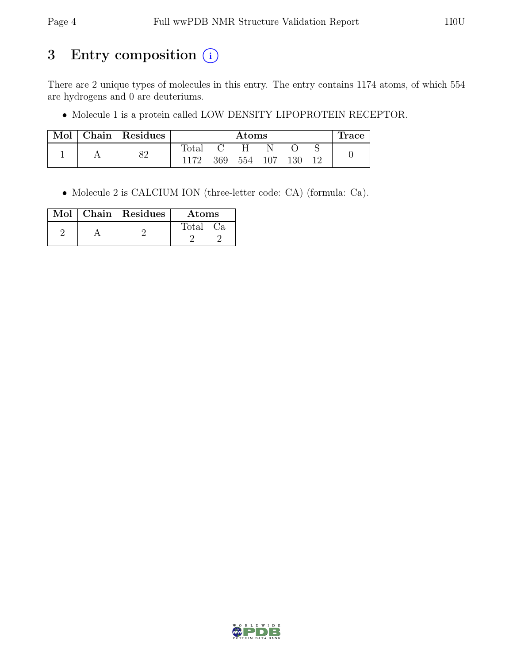## 3 Entry composition (i)

There are 2 unique types of molecules in this entry. The entry contains 1174 atoms, of which 554 are hydrogens and 0 are deuteriums.

• Molecule 1 is a protein called LOW DENSITY LIPOPROTEIN RECEPTOR.

| Mol | $\Box$ Chain   Residues |       | $\rm{Atoms}$ |     |     |     |  | Trace |
|-----|-------------------------|-------|--------------|-----|-----|-----|--|-------|
|     | ວດ                      | Total |              | H.  |     |     |  |       |
|     | OΔ                      | 1172  | 369          | 554 | 107 | 130 |  |       |

• Molecule 2 is CALCIUM ION (three-letter code: CA) (formula: Ca).

|  | Mol   Chain   Residues | Atoms        |
|--|------------------------|--------------|
|  |                        | Total<br>Uа. |

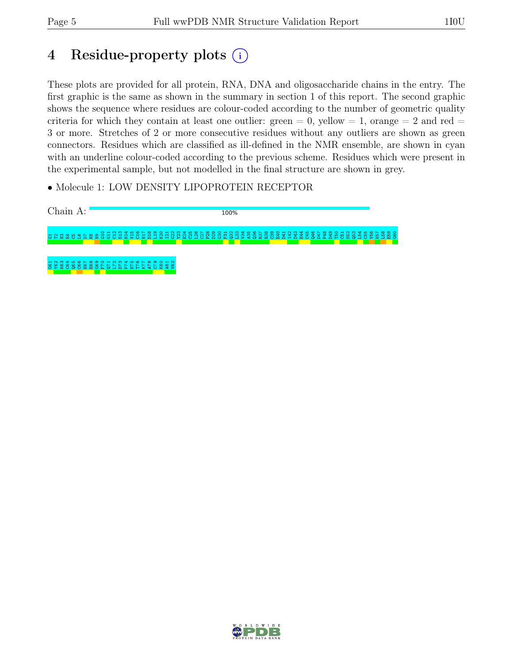## 4 Residue-property plots (i)

These plots are provided for all protein, RNA, DNA and oligosaccharide chains in the entry. The first graphic is the same as shown in the summary in section 1 of this report. The second graphic shows the sequence where residues are colour-coded according to the number of geometric quality criteria for which they contain at least one outlier: green  $= 0$ , yellow  $= 1$ , orange  $= 2$  and red  $=$ 3 or more. Stretches of 2 or more consecutive residues without any outliers are shown as green connectors. Residues which are classified as ill-defined in the NMR ensemble, are shown in cyan with an underline colour-coded according to the previous scheme. Residues which were present in the experimental sample, but not modelled in the final structure are shown in grey.

• Molecule 1: LOW DENSITY LIPOPROTEIN RECEPTOR



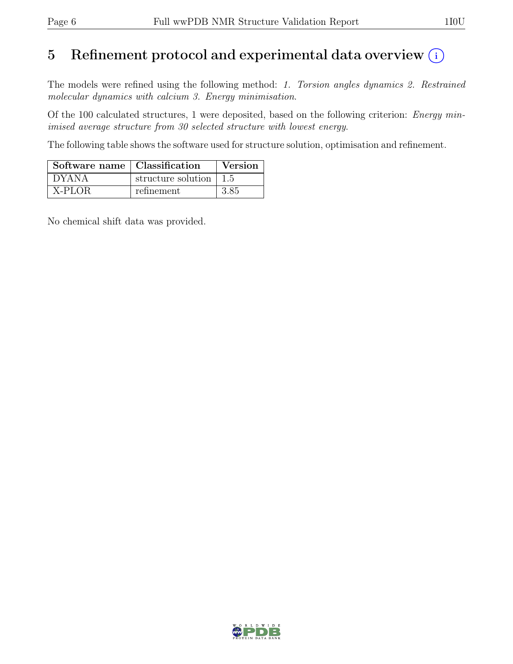## 5 Refinement protocol and experimental data overview  $(i)$

The models were refined using the following method: 1. Torsion angles dynamics 2. Restrained molecular dynamics with calcium 3. Energy minimisation.

Of the 100 calculated structures, 1 were deposited, based on the following criterion: Energy minimised average structure from 30 selected structure with lowest energy.

The following table shows the software used for structure solution, optimisation and refinement.

| Software name   Classification |                                        | <b>Version</b> |
|--------------------------------|----------------------------------------|----------------|
| $^{\circ}$ DYANA               | structure solution $\vert 1.5 \rangle$ |                |
| X-PLOR                         | refinement.                            | 3.85           |

No chemical shift data was provided.

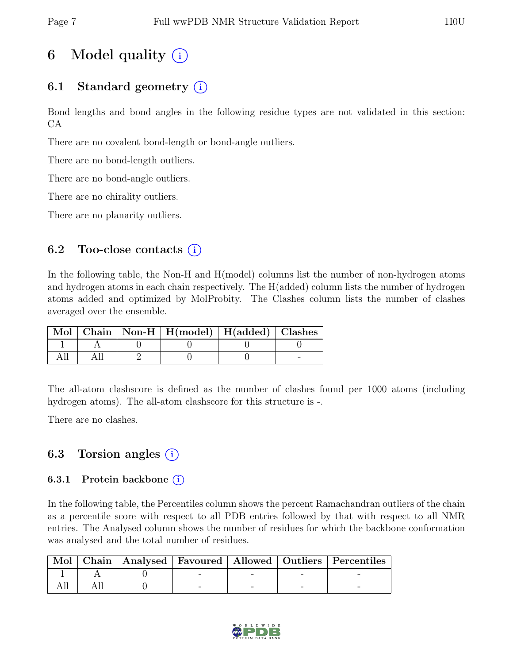## 6 Model quality  $(i)$

## 6.1 Standard geometry  $(i)$

Bond lengths and bond angles in the following residue types are not validated in this section: CA

There are no covalent bond-length or bond-angle outliers.

There are no bond-length outliers.

There are no bond-angle outliers.

There are no chirality outliers.

There are no planarity outliers.

### 6.2 Too-close contacts  $(i)$

In the following table, the Non-H and H(model) columns list the number of non-hydrogen atoms and hydrogen atoms in each chain respectively. The H(added) column lists the number of hydrogen atoms added and optimized by MolProbity. The Clashes column lists the number of clashes averaged over the ensemble.

|  | Mol   Chain   Non-H   H(model)   H(added)   Clashes |  |
|--|-----------------------------------------------------|--|
|  |                                                     |  |
|  |                                                     |  |

The all-atom clashscore is defined as the number of clashes found per 1000 atoms (including hydrogen atoms). The all-atom clashscore for this structure is -.

There are no clashes.

## 6.3 Torsion angles  $(i)$

#### 6.3.1 Protein backbone  $(i)$

In the following table, the Percentiles column shows the percent Ramachandran outliers of the chain as a percentile score with respect to all PDB entries followed by that with respect to all NMR entries. The Analysed column shows the number of residues for which the backbone conformation was analysed and the total number of residues.

|  |  |  | Mol   Chain   Analysed   Favoured   Allowed   Outliers   Percentiles |
|--|--|--|----------------------------------------------------------------------|
|  |  |  |                                                                      |
|  |  |  |                                                                      |

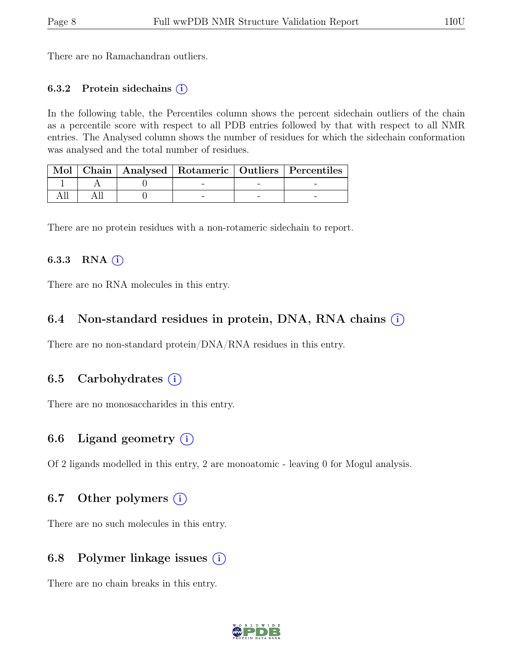There are no Ramachandran outliers.

#### 6.3.2 Protein sidechains  $(i)$

In the following table, the Percentiles column shows the percent sidechain outliers of the chain as a percentile score with respect to all PDB entries followed by that with respect to all NMR entries. The Analysed column shows the number of residues for which the sidechain conformation was analysed and the total number of residues.

|  |  | Mol   Chain   Analysed   Rotameric   Outliers   Percentiles |
|--|--|-------------------------------------------------------------|
|  |  |                                                             |
|  |  |                                                             |

There are no protein residues with a non-rotameric sidechain to report.

#### 6.3.3 RNA $(i)$

There are no RNA molecules in this entry.

### 6.4 Non-standard residues in protein, DNA, RNA chains (i)

There are no non-standard protein/DNA/RNA residues in this entry.

### 6.5 Carbohydrates (i)

There are no monosaccharides in this entry.

### 6.6 Ligand geometry  $(i)$

Of 2 ligands modelled in this entry, 2 are monoatomic - leaving 0 for Mogul analysis.

### 6.7 Other polymers  $(i)$

There are no such molecules in this entry.

### 6.8 Polymer linkage issues  $(i)$

There are no chain breaks in this entry.